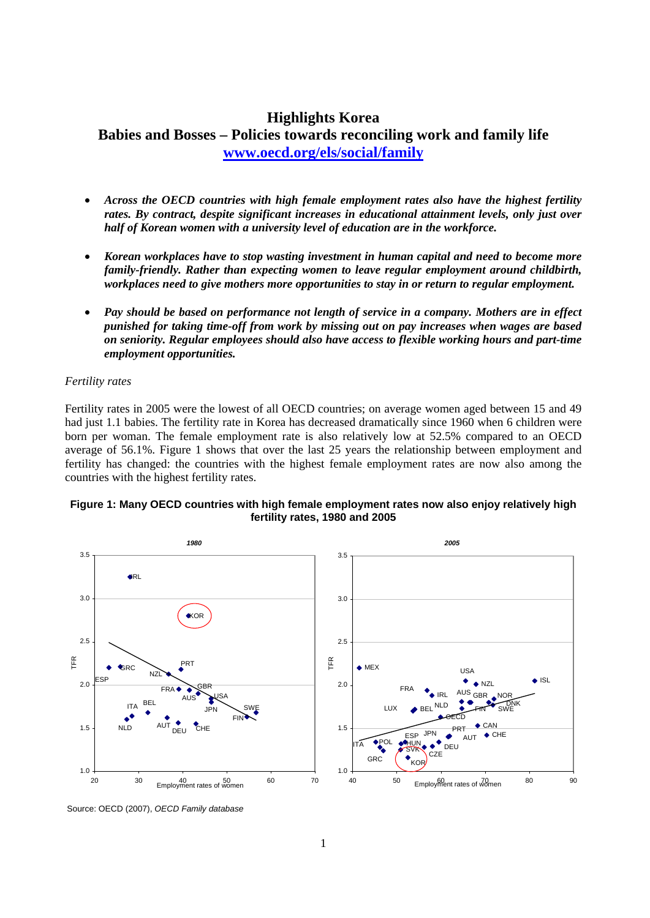# **Highlights Korea Babies and Bosses – Policies towards reconciling work and family life [www.oecd.org/els/social/family](http://www.oecd.org/els/social/family)**

- *Across the OECD countries with high female employment rates also have the highest fertility rates. By contract, despite significant increases in educational attainment levels, only just over half of Korean women with a university level of education are in the workforce.*
- *Korean workplaces have to stop wasting investment in human capital and need to become more family-friendly. Rather than expecting women to leave regular employment around childbirth, workplaces need to give mothers more opportunities to stay in or return to regular employment.*
- *Pay should be based on performance not length of service in a company. Mothers are in effect punished for taking time-off from work by missing out on pay increases when wages are based on seniority. Regular employees should also have access to flexible working hours and part-time employment opportunities.*

### *Fertility rates*

Fertility rates in 2005 were the lowest of all OECD countries; on average women aged between 15 and 49 had just 1.1 babies. The fertility rate in Korea has decreased dramatically since 1960 when 6 children were born per woman. The female employment rate is also relatively low at 52.5% compared to an OECD average of 56.1%. Figure 1 shows that over the last 25 years the relationship between employment and fertility has changed: the countries with the highest female employment rates are now also among the countries with the highest fertility rates.

#### **Figure 1: Many OECD countries with high female employment rates now also enjoy relatively high fertility rates, 1980 and 2005**



Source: OECD (2007), *OECD Family database*